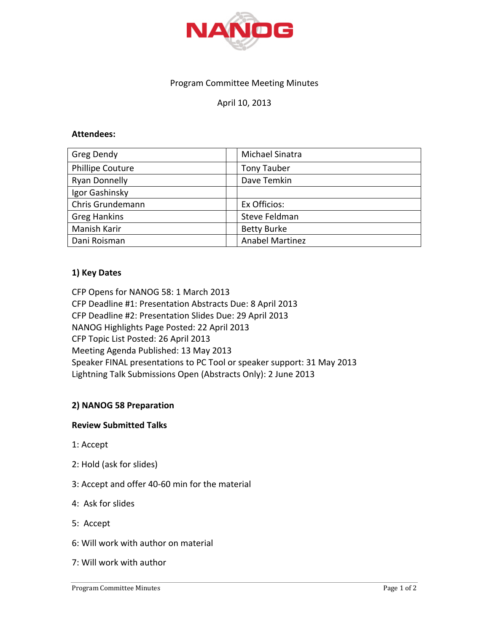

## Program Committee Meeting Minutes

# April 10, 2013

### **Attendees:**

| Greg Dendy              | Michael Sinatra        |
|-------------------------|------------------------|
| <b>Phillipe Couture</b> | <b>Tony Tauber</b>     |
| <b>Ryan Donnelly</b>    | Dave Temkin            |
| Igor Gashinsky          |                        |
| Chris Grundemann        | Ex Officios:           |
| <b>Greg Hankins</b>     | Steve Feldman          |
| Manish Karir            | <b>Betty Burke</b>     |
| Dani Roisman            | <b>Anabel Martinez</b> |

### **1) Key Dates**

CFP Opens for NANOG 58: 1 March 2013 CFP Deadline #1: Presentation Abstracts Due: 8 April 2013 CFP Deadline #2: Presentation Slides Due: 29 April 2013 NANOG Highlights Page Posted: 22 April 2013 CFP Topic List Posted: 26 April 2013 Meeting Agenda Published: 13 May 2013 Speaker FINAL presentations to PC Tool or speaker support: 31 May 2013 Lightning Talk Submissions Open (Abstracts Only): 2 June 2013

### **2) NANOG 58 Preparation**

#### **Review!Submitted!Talks**

- 1: Accept
- 2: Hold (ask for slides)
- 3: Accept and offer 40-60 min for the material
- 4: Ask for slides
- 5: Accept
- 6: Will work with author on material
- 7: Will work with author